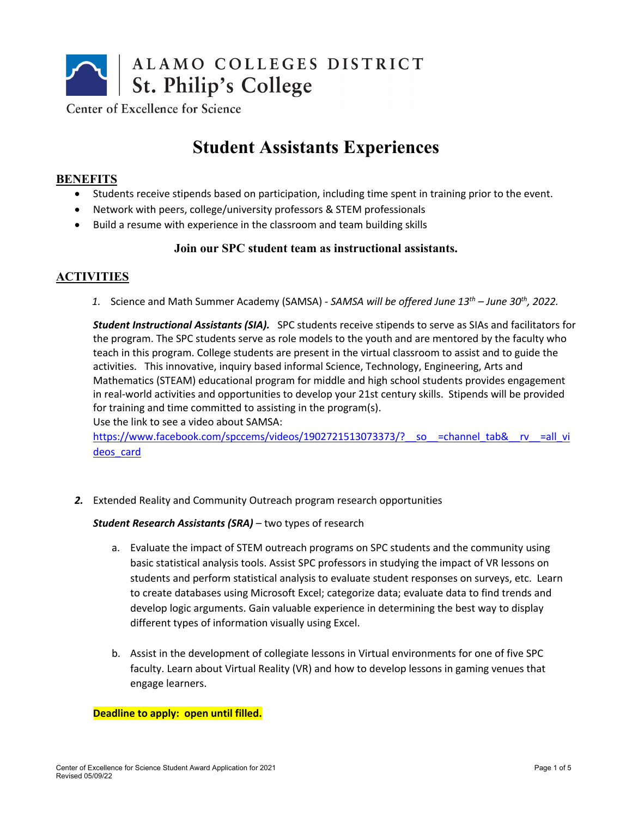

Center of Excellence for Science

# **Student Assistants Experiences**

### **BENEFITS**

- Students receive stipends based on participation, including time spent in training prior to the event.
- Network with peers, college/university professors & STEM professionals
- Build a resume with experience in the classroom and team building skills

### **Join our SPC student team as instructional assistants.**

## **ACTIVITIES**

*1.* Science and Math Summer Academy (SAMSA) *- SAMSA will be offered June 13th – June 30th, 2022.*

*Student Instructional Assistants (SIA).* SPC students receive stipends to serve as SIAs and facilitators for the program. The SPC students serve as role models to the youth and are mentored by the faculty who teach in this program. College students are present in the virtual classroom to assist and to guide the activities. This innovative, inquiry based informal Science, Technology, Engineering, Arts and Mathematics (STEAM) educational program for middle and high school students provides engagement in real-world activities and opportunities to develop your 21st century skills. Stipends will be provided for training and time committed to assisting in the program(s). Use the link to see a video about SAMSA:

https://www.facebook.com/spccems/videos/1902721513073373/? so =channel\_tab&\_\_rv\_\_=all\_vi deos\_card

*2.* Extended Reality and Community Outreach program research opportunities

*Student Research Assistants (SRA)* – two types of research

- a. Evaluate the impact of STEM outreach programs on SPC students and the community using basic statistical analysis tools. Assist SPC professors in studying the impact of VR lessons on students and perform statistical analysis to evaluate student responses on surveys, etc. Learn to create databases using Microsoft Excel; categorize data; evaluate data to find trends and develop logic arguments. Gain valuable experience in determining the best way to display different types of information visually using Excel.
- b. Assist in the development of collegiate lessons in Virtual environments for one of five SPC faculty. Learn about Virtual Reality (VR) and how to develop lessons in gaming venues that engage learners.

#### **Deadline to apply: open until filled.**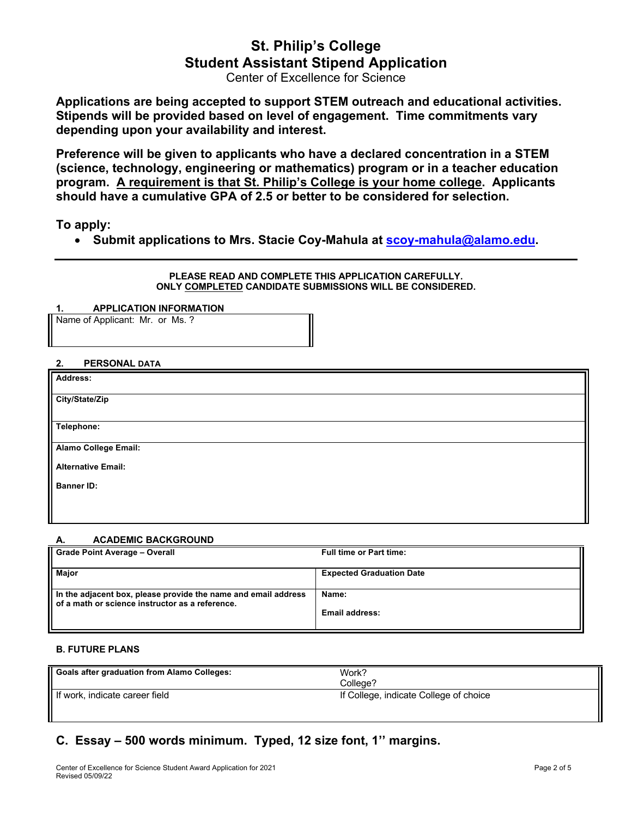# **St. Philip's College Student Assistant Stipend Application**

Center of Excellence for Science

**Applications are being accepted to support STEM outreach and educational activities. Stipends will be provided based on level of engagement. Time commitments vary depending upon your availability and interest.**

**Preference will be given to applicants who have a declared concentration in a STEM (science, technology, engineering or mathematics) program or in a teacher education program. A requirement is that St. Philip's College is your home college. Applicants should have a cumulative GPA of 2.5 or better to be considered for selection.** 

**To apply:**

• **Submit applications to Mrs. Stacie Coy-Mahula at scoy-mahula@alamo.edu.**

**PLEASE READ AND COMPLETE THIS APPLICATION CAREFULLY. ONLY COMPLETED CANDIDATE SUBMISSIONS WILL BE CONSIDERED.**

**1. APPLICATION INFORMATION**

Name of Applicant: Mr. or Ms. ?

#### **2. PERSONAL DATA**

| <b>Address:</b>           |  |
|---------------------------|--|
| City/State/Zip            |  |
| Telephone:                |  |
| Alamo College Email:      |  |
| <b>Alternative Email:</b> |  |
| <b>Banner ID:</b>         |  |
|                           |  |
|                           |  |

#### **A. ACADEMIC BACKGROUND**

| <b>Grade Point Average - Overall</b>                                                                              | <b>Full time or Part time:</b>  |
|-------------------------------------------------------------------------------------------------------------------|---------------------------------|
| <b>Maior</b>                                                                                                      | <b>Expected Graduation Date</b> |
| In the adjacent box, please provide the name and email address<br>of a math or science instructor as a reference. | Name:                           |
|                                                                                                                   | <b>Email address:</b>           |

#### **B. FUTURE PLANS**

| <b>Goals after graduation from Alamo Colleges:</b> | Work?<br>Colleae?                      |  |
|----------------------------------------------------|----------------------------------------|--|
| If work, indicate career field                     | If College, indicate College of choice |  |

# **C. Essay – 500 words minimum. Typed, 12 size font, 1'' margins.**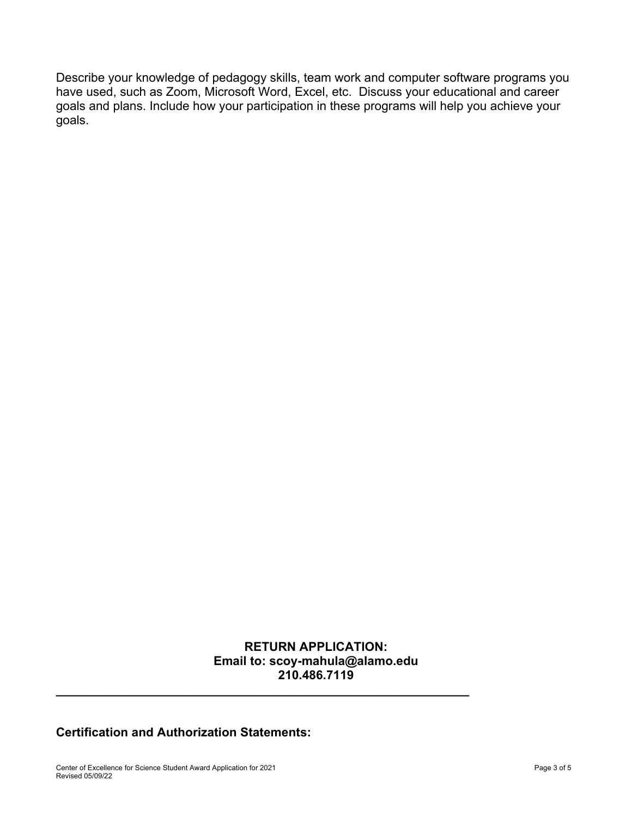Describe your knowledge of pedagogy skills, team work and computer software programs you have used, such as Zoom, Microsoft Word, Excel, etc. Discuss your educational and career goals and plans. Include how your participation in these programs will help you achieve your goals.

# **RETURN APPLICATION: Email to: scoy-mahula@alamo.edu 210.486.7119**

**\_\_\_\_\_\_\_\_\_\_\_\_\_\_\_\_\_\_\_\_\_\_\_\_\_\_\_\_\_\_\_\_\_\_\_\_\_\_\_\_\_\_\_\_\_\_\_\_\_\_\_\_\_\_\_\_\_\_\_\_**

# **Certification and Authorization Statements:**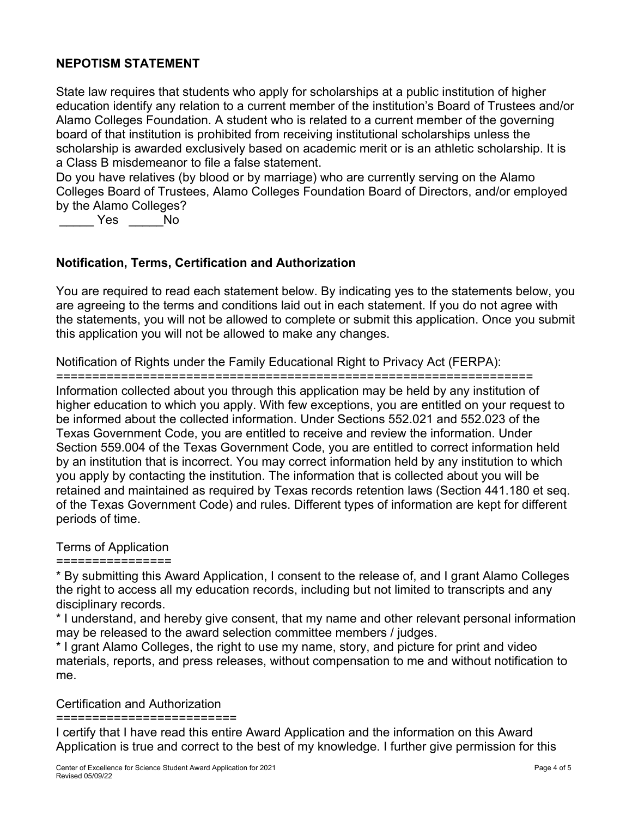# **NEPOTISM STATEMENT**

State law requires that students who apply for scholarships at a public institution of higher education identify any relation to a current member of the institution's Board of Trustees and/or Alamo Colleges Foundation. A student who is related to a current member of the governing board of that institution is prohibited from receiving institutional scholarships unless the scholarship is awarded exclusively based on academic merit or is an athletic scholarship. It is a Class B misdemeanor to file a false statement.

Do you have relatives (by blood or by marriage) who are currently serving on the Alamo Colleges Board of Trustees, Alamo Colleges Foundation Board of Directors, and/or employed by the Alamo Colleges?

\_\_\_\_\_ Yes \_\_\_\_\_No

# **Notification, Terms, Certification and Authorization**

You are required to read each statement below. By indicating yes to the statements below, you are agreeing to the terms and conditions laid out in each statement. If you do not agree with the statements, you will not be allowed to complete or submit this application. Once you submit this application you will not be allowed to make any changes.

Notification of Rights under the Family Educational Right to Privacy Act (FERPA):

==================================================================

Information collected about you through this application may be held by any institution of higher education to which you apply. With few exceptions, you are entitled on your request to be informed about the collected information. Under Sections 552.021 and 552.023 of the Texas Government Code, you are entitled to receive and review the information. Under Section 559.004 of the Texas Government Code, you are entitled to correct information held by an institution that is incorrect. You may correct information held by any institution to which you apply by contacting the institution. The information that is collected about you will be retained and maintained as required by Texas records retention laws (Section 441.180 et seq. of the Texas Government Code) and rules. Different types of information are kept for different periods of time.

# Terms of Application

================

\* By submitting this Award Application, I consent to the release of, and I grant Alamo Colleges the right to access all my education records, including but not limited to transcripts and any disciplinary records.

\* I understand, and hereby give consent, that my name and other relevant personal information may be released to the award selection committee members / judges.

\* I grant Alamo Colleges, the right to use my name, story, and picture for print and video materials, reports, and press releases, without compensation to me and without notification to me.

Certification and Authorization

=========================

I certify that I have read this entire Award Application and the information on this Award Application is true and correct to the best of my knowledge. I further give permission for this